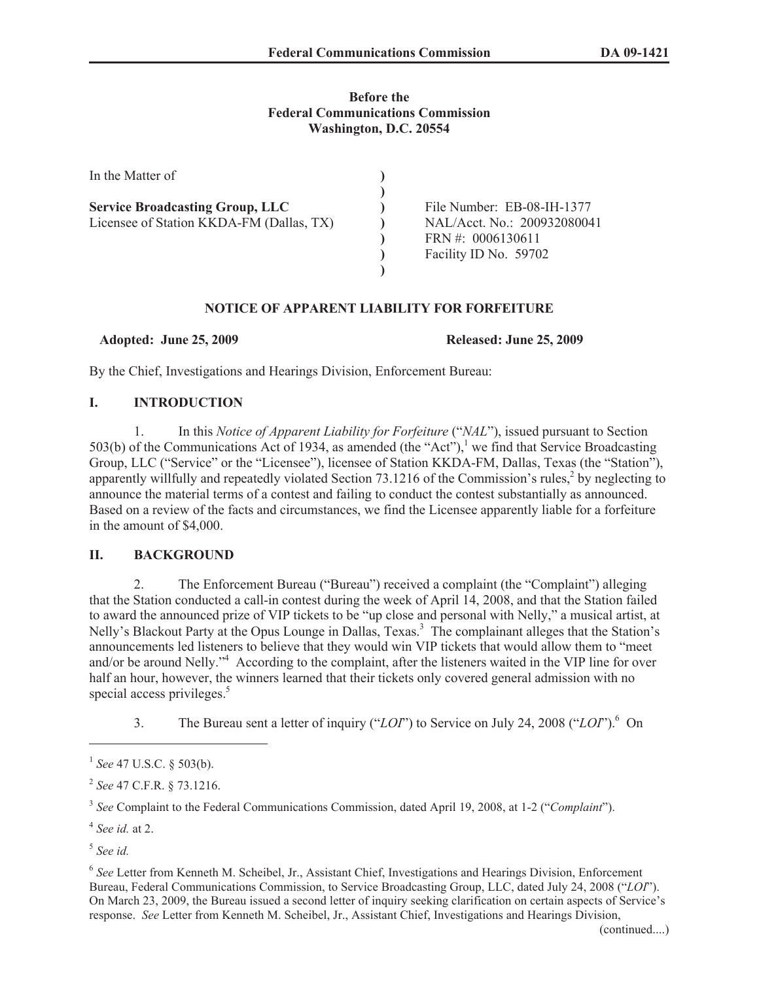# **Before the Federal Communications Commission Washington, D.C. 20554**

| In the Matter of                         |                             |
|------------------------------------------|-----------------------------|
|                                          | File Number: EB-08-IH-1377  |
| <b>Service Broadcasting Group, LLC</b>   |                             |
| Licensee of Station KKDA-FM (Dallas, TX) | NAL/Acct. No.: 200932080041 |
|                                          | FRN #: $0006130611$         |
|                                          | Facility ID No. 59702       |
|                                          |                             |

# **NOTICE OF APPARENT LIABILITY FOR FORFEITURE**

**Adopted: June 25, 2009 Released: June 25, 2009**

By the Chief, Investigations and Hearings Division, Enforcement Bureau:

# **I. INTRODUCTION**

1. In this *Notice of Apparent Liability for Forfeiture* ("*NAL*"), issued pursuant to Section 503(b) of the Communications Act of 1934, as amended (the "Act"),<sup>1</sup> we find that Service Broadcasting Group, LLC ("Service" or the "Licensee"), licensee of Station KKDA-FM, Dallas, Texas (the "Station"), apparently willfully and repeatedly violated Section  $73.1216$  of the Commission's rules,<sup>2</sup> by neglecting to announce the material terms of a contest and failing to conduct the contest substantially as announced. Based on a review of the facts and circumstances, we find the Licensee apparently liable for a forfeiture in the amount of \$4,000.

# **II. BACKGROUND**

2. The Enforcement Bureau ("Bureau") received a complaint (the "Complaint") alleging that the Station conducted a call-in contest during the week of April 14, 2008, and that the Station failed to award the announced prize of VIP tickets to be "up close and personal with Nelly," a musical artist, at Nelly's Blackout Party at the Opus Lounge in Dallas, Texas.<sup>3</sup> The complainant alleges that the Station's announcements led listeners to believe that they would win VIP tickets that would allow them to "meet and/or be around Nelly."<sup>4</sup> According to the complaint, after the listeners waited in the VIP line for over half an hour, however, the winners learned that their tickets only covered general admission with no special access privileges.<sup>5</sup>

3. The Bureau sent a letter of inquiry ("*LOI*") to Service on July 24, 2008 ("*LOI*").<sup>6</sup> On

<sup>1</sup> *See* 47 U.S.C. § 503(b).

<sup>2</sup> *See* 47 C.F.R. § 73.1216.

<sup>3</sup> *See* Complaint to the Federal Communications Commission, dated April 19, 2008, at 1-2 ("*Complaint*").

<sup>4</sup> *See id.* at 2.

<sup>5</sup> *See id.*

<sup>6</sup> *See* Letter from Kenneth M. Scheibel, Jr., Assistant Chief, Investigations and Hearings Division, Enforcement Bureau, Federal Communications Commission, to Service Broadcasting Group, LLC, dated July 24, 2008 ("*LOI*"). On March 23, 2009, the Bureau issued a second letter of inquiry seeking clarification on certain aspects of Service's response. *See* Letter from Kenneth M. Scheibel, Jr., Assistant Chief, Investigations and Hearings Division,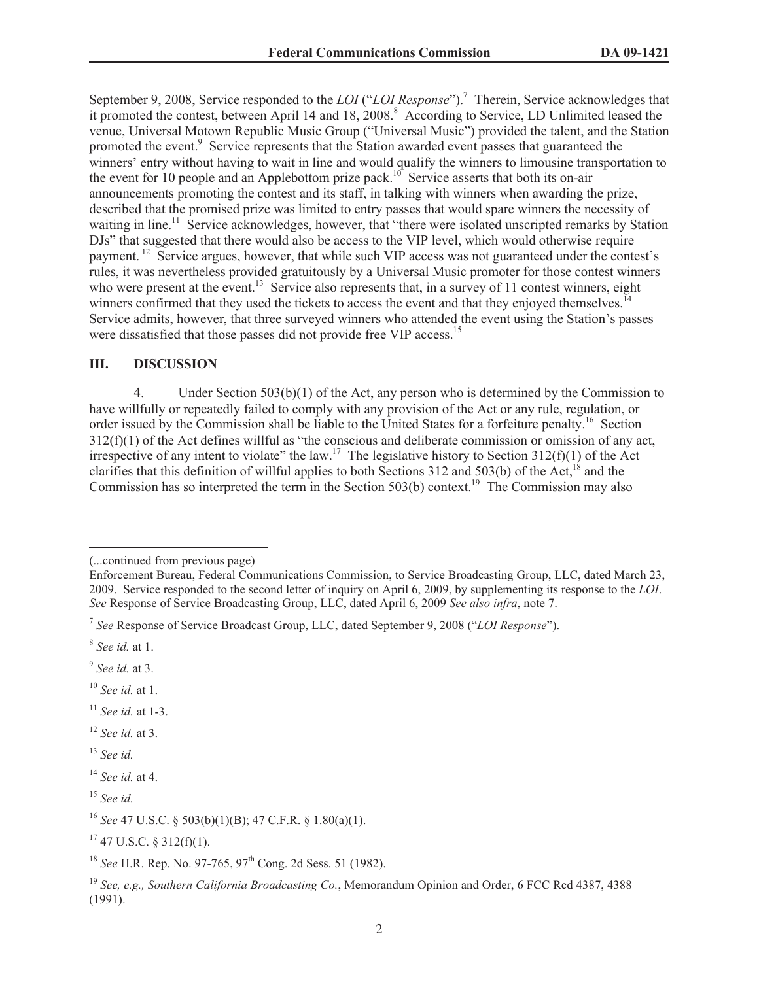September 9, 2008, Service responded to the *LOI* ("*LOI Response*").<sup>7</sup> Therein, Service acknowledges that it promoted the contest, between April 14 and 18, 2008.<sup>8</sup> According to Service, LD Unlimited leased the venue, Universal Motown Republic Music Group ("Universal Music") provided the talent, and the Station promoted the event.<sup>9</sup> Service represents that the Station awarded event passes that guaranteed the winners' entry without having to wait in line and would qualify the winners to limousine transportation to the event for 10 people and an Applebottom prize pack.<sup>10</sup> Service asserts that both its on-air announcements promoting the contest and its staff, in talking with winners when awarding the prize, described that the promised prize was limited to entry passes that would spare winners the necessity of waiting in line.<sup>11</sup> Service acknowledges, however, that "there were isolated unscripted remarks by Station" DJs" that suggested that there would also be access to the VIP level, which would otherwise require payment. <sup>12</sup> Service argues, however, that while such VIP access was not guaranteed under the contest's rules, it was nevertheless provided gratuitously by a Universal Music promoter for those contest winners who were present at the event.<sup>13</sup> Service also represents that, in a survey of 11 contest winners, eight winners confirmed that they used the tickets to access the event and that they enjoyed themselves.<sup>14</sup> Service admits, however, that three surveyed winners who attended the event using the Station's passes were dissatisfied that those passes did not provide free VIP access.<sup>15</sup>

### **III. DISCUSSION**

4. Under Section 503(b)(1) of the Act, any person who is determined by the Commission to have willfully or repeatedly failed to comply with any provision of the Act or any rule, regulation, or order issued by the Commission shall be liable to the United States for a forfeiture penalty.<sup>16</sup> Section 312(f)(1) of the Act defines willful as "the conscious and deliberate commission or omission of any act, irrespective of any intent to violate" the law.<sup>17</sup> The legislative history to Section  $312(f)(1)$  of the Act clarifies that this definition of willful applies to both Sections 312 and 503(b) of the Act,<sup>18</sup> and the Commission has so interpreted the term in the Section 503(b) context.<sup>19</sup> The Commission may also

- <sup>11</sup> *See id.* at 1-3.
- <sup>12</sup> *See id.* at 3.
- <sup>13</sup> *See id.*

<sup>(...</sup>continued from previous page)

Enforcement Bureau, Federal Communications Commission, to Service Broadcasting Group, LLC, dated March 23, 2009. Service responded to the second letter of inquiry on April 6, 2009, by supplementing its response to the *LOI*. *See* Response of Service Broadcasting Group, LLC, dated April 6, 2009 *See also infra*, note 7.

<sup>7</sup> *See* Response of Service Broadcast Group, LLC, dated September 9, 2008 ("*LOI Response*").

<sup>8</sup> *See id.* at 1.

<sup>9</sup> *See id.* at 3.

<sup>10</sup> *See id.* at 1.

<sup>14</sup> *See id.* at 4.

<sup>15</sup> *See id.*

<sup>16</sup> *See* 47 U.S.C. § 503(b)(1)(B); 47 C.F.R. § 1.80(a)(1).

 $17$  47 U.S.C. § 312(f)(1).

<sup>&</sup>lt;sup>18</sup> *See* H.R. Rep. No. 97-765, 97<sup>th</sup> Cong. 2d Sess. 51 (1982).

<sup>19</sup> *See, e.g., Southern California Broadcasting Co.*, Memorandum Opinion and Order, 6 FCC Rcd 4387, 4388 (1991).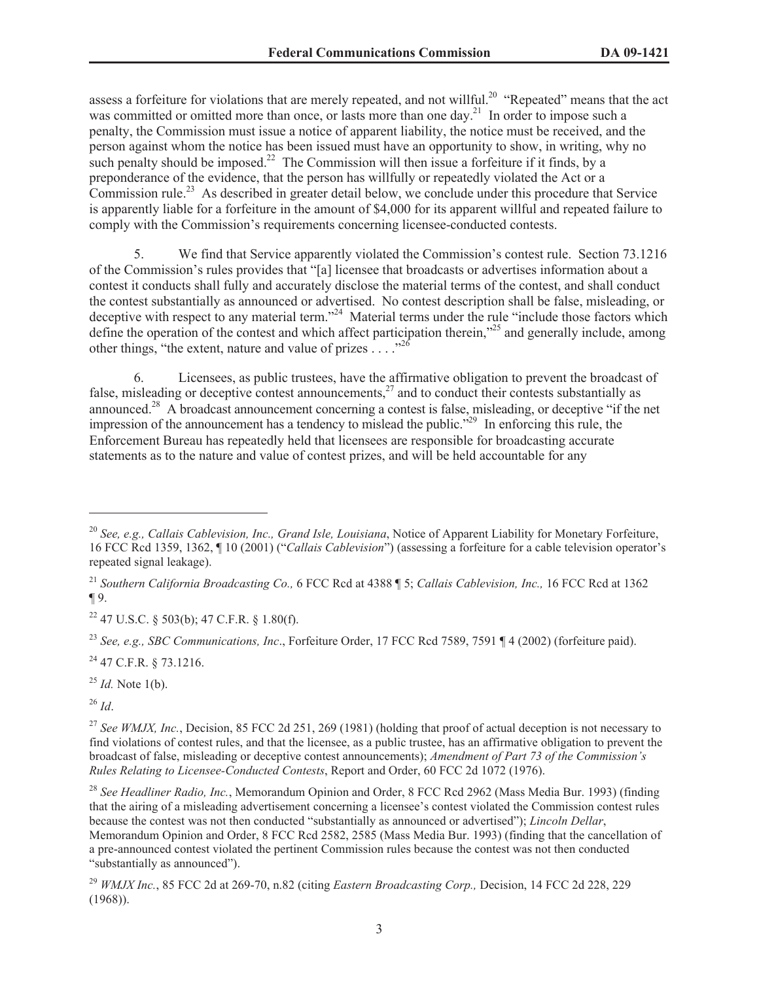assess a forfeiture for violations that are merely repeated, and not willful.<sup>20</sup> "Repeated" means that the act was committed or omitted more than once, or lasts more than one day.<sup>21</sup> In order to impose such a penalty, the Commission must issue a notice of apparent liability, the notice must be received, and the person against whom the notice has been issued must have an opportunity to show, in writing, why no such penalty should be imposed.<sup>22</sup> The Commission will then issue a forfeiture if it finds, by a preponderance of the evidence, that the person has willfully or repeatedly violated the Act or a  $\overline{Commission rule}^{23}$  As described in greater detail below, we conclude under this procedure that Service is apparently liable for a forfeiture in the amount of \$4,000 for its apparent willful and repeated failure to comply with the Commission's requirements concerning licensee-conducted contests.

5. We find that Service apparently violated the Commission's contest rule. Section 73.1216 of the Commission's rules provides that "[a] licensee that broadcasts or advertises information about a contest it conducts shall fully and accurately disclose the material terms of the contest, and shall conduct the contest substantially as announced or advertised. No contest description shall be false, misleading, or deceptive with respect to any material term."<sup>24</sup> Material terms under the rule "include those factors which define the operation of the contest and which affect participation therein,<sup>325</sup> and generally include, among other things, "the extent, nature and value of prizes  $\ldots$ ."<sup>26</sup>

6. Licensees, as public trustees, have the affirmative obligation to prevent the broadcast of false, misleading or deceptive contest announcements, $2^7$  and to conduct their contests substantially as announced.<sup>28</sup> A broadcast announcement concerning a contest is false, misleading, or deceptive "if the net impression of the announcement has a tendency to mislead the public.<sup>529</sup> In enforcing this rule, the Enforcement Bureau has repeatedly held that licensees are responsible for broadcasting accurate statements as to the nature and value of contest prizes, and will be held accountable for any

<sup>23</sup> *See, e.g., SBC Communications, Inc*., Forfeiture Order, 17 FCC Rcd 7589, 7591 ¶ 4 (2002) (forfeiture paid).

<sup>24</sup> 47 C.F.R. § 73.1216.

<sup>25</sup> *Id.* Note 1(b).

<sup>26</sup> *Id*.

<sup>20</sup> *See, e.g., Callais Cablevision, Inc., Grand Isle, Louisiana*, Notice of Apparent Liability for Monetary Forfeiture, 16 FCC Rcd 1359, 1362, ¶ 10 (2001) ("*Callais Cablevision*") (assessing a forfeiture for a cable television operator's repeated signal leakage).

<sup>21</sup> *Southern California Broadcasting Co.,* 6 FCC Rcd at 4388 ¶ 5; *Callais Cablevision, Inc.,* 16 FCC Rcd at 1362 ¶ 9.

 $22$  47 U.S.C. § 503(b); 47 C.F.R. § 1.80(f).

<sup>&</sup>lt;sup>27</sup> See WMJX, Inc., Decision, 85 FCC 2d 251, 269 (1981) (holding that proof of actual deception is not necessary to find violations of contest rules, and that the licensee, as a public trustee, has an affirmative obligation to prevent the broadcast of false, misleading or deceptive contest announcements); *Amendment of Part 73 of the Commission's Rules Relating to Licensee-Conducted Contests*, Report and Order, 60 FCC 2d 1072 (1976).

<sup>28</sup> *See Headliner Radio, Inc.*, Memorandum Opinion and Order, 8 FCC Rcd 2962 (Mass Media Bur. 1993) (finding that the airing of a misleading advertisement concerning a licensee's contest violated the Commission contest rules because the contest was not then conducted "substantially as announced or advertised"); *Lincoln Dellar*, Memorandum Opinion and Order, 8 FCC Rcd 2582, 2585 (Mass Media Bur. 1993) (finding that the cancellation of a pre-announced contest violated the pertinent Commission rules because the contest was not then conducted "substantially as announced").

<sup>29</sup> *WMJX Inc.*, 85 FCC 2d at 269-70, n.82 (citing *Eastern Broadcasting Corp.,* Decision, 14 FCC 2d 228, 229  $(1968)$ ).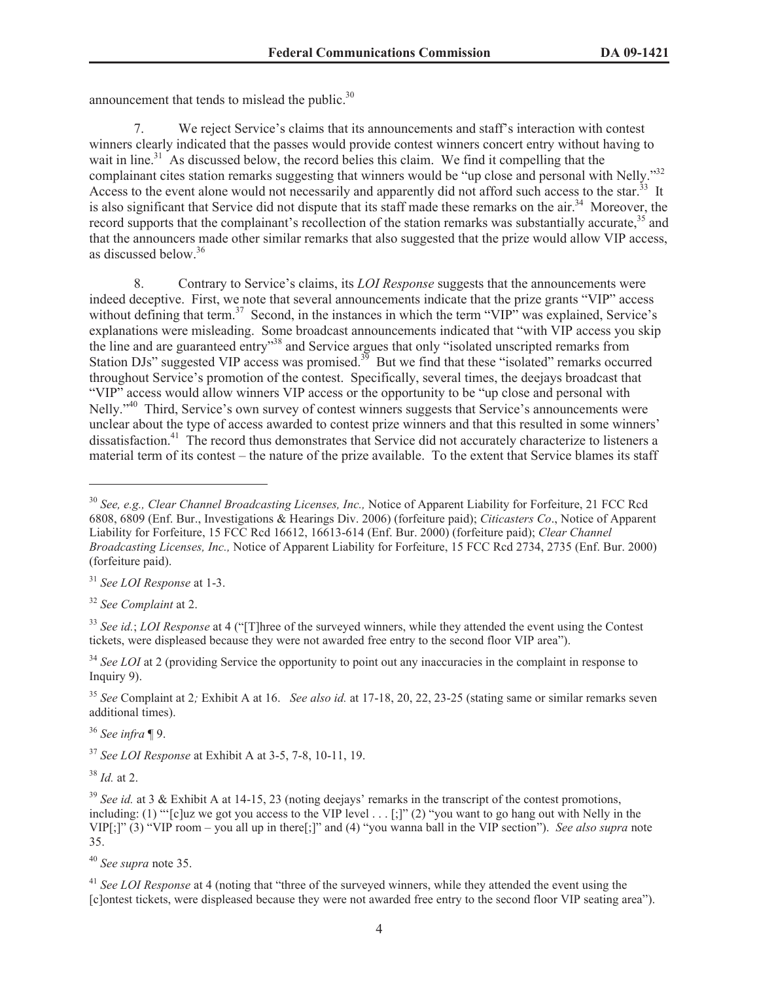announcement that tends to mislead the public. $30$ 

7. We reject Service's claims that its announcements and staff's interaction with contest winners clearly indicated that the passes would provide contest winners concert entry without having to wait in line.<sup>31</sup> As discussed below, the record belies this claim. We find it compelling that the complainant cites station remarks suggesting that winners would be "up close and personal with Nelly."<sup>32</sup> Access to the event alone would not necessarily and apparently did not afford such access to the star.<sup>33</sup> It is also significant that Service did not dispute that its staff made these remarks on the air.<sup>34</sup> Moreover, the record supports that the complainant's recollection of the station remarks was substantially accurate,  $35$  and that the announcers made other similar remarks that also suggested that the prize would allow VIP access, as discussed below.<sup>36</sup>

8. Contrary to Service's claims, its *LOI Response* suggests that the announcements were indeed deceptive. First, we note that several announcements indicate that the prize grants "VIP" access without defining that term.<sup>37</sup> Second, in the instances in which the term "VIP" was explained, Service's explanations were misleading. Some broadcast announcements indicated that "with VIP access you skip the line and are guaranteed entry"<sup>38</sup> and Service argues that only "isolated unscripted remarks from Station DJs" suggested VIP access was promised. $3<sup>3</sup>$  But we find that these "isolated" remarks occurred throughout Service's promotion of the contest. Specifically, several times, the deejays broadcast that "VIP" access would allow winners VIP access or the opportunity to be "up close and personal with Nelly."<sup>40</sup> Third, Service's own survey of contest winners suggests that Service's announcements were unclear about the type of access awarded to contest prize winners and that this resulted in some winners' dissatisfaction.<sup>41</sup> The record thus demonstrates that Service did not accurately characterize to listeners a material term of its contest – the nature of the prize available. To the extent that Service blames its staff

<sup>32</sup> *See Complaint* at 2.

<sup>36</sup> *See infra* ¶ 9.

<sup>37</sup> *See LOI Response* at Exhibit A at 3-5, 7-8, 10-11, 19.

<sup>38</sup> *Id.* at 2.

<sup>30</sup> *See, e.g., Clear Channel Broadcasting Licenses, Inc.,* Notice of Apparent Liability for Forfeiture, 21 FCC Rcd 6808, 6809 (Enf. Bur., Investigations & Hearings Div. 2006) (forfeiture paid); *Citicasters Co*., Notice of Apparent Liability for Forfeiture, 15 FCC Rcd 16612, 16613-614 (Enf. Bur. 2000) (forfeiture paid); *Clear Channel Broadcasting Licenses, Inc.,* Notice of Apparent Liability for Forfeiture, 15 FCC Rcd 2734, 2735 (Enf. Bur. 2000) (forfeiture paid).

<sup>31</sup> *See LOI Response* at 1-3.

<sup>33</sup> *See id.*; *LOI Response* at 4 ("[T]hree of the surveyed winners, while they attended the event using the Contest tickets, were displeased because they were not awarded free entry to the second floor VIP area").

<sup>&</sup>lt;sup>34</sup> See LOI at 2 (providing Service the opportunity to point out any inaccuracies in the complaint in response to Inquiry 9).

<sup>35</sup> *See* Complaint at 2*;* Exhibit A at 16. *See also id.* at 17-18, 20, 22, 23-25 (stating same or similar remarks seven additional times).

<sup>&</sup>lt;sup>39</sup> *See id.* at 3 & Exhibit A at 14-15, 23 (noting deejays' remarks in the transcript of the contest promotions, including: (1) "'[c]uz we got you access to the VIP level . . . [;]" (2) "you want to go hang out with Nelly in the VIP[;]" (3) "VIP room – you all up in there[;]" and (4) "you wanna ball in the VIP section"). *See also supra* note 35.

<sup>40</sup> *See supra* note 35.

<sup>&</sup>lt;sup>41</sup> See LOI Response at 4 (noting that "three of the surveyed winners, while they attended the event using the [c]ontest tickets, were displeased because they were not awarded free entry to the second floor VIP seating area").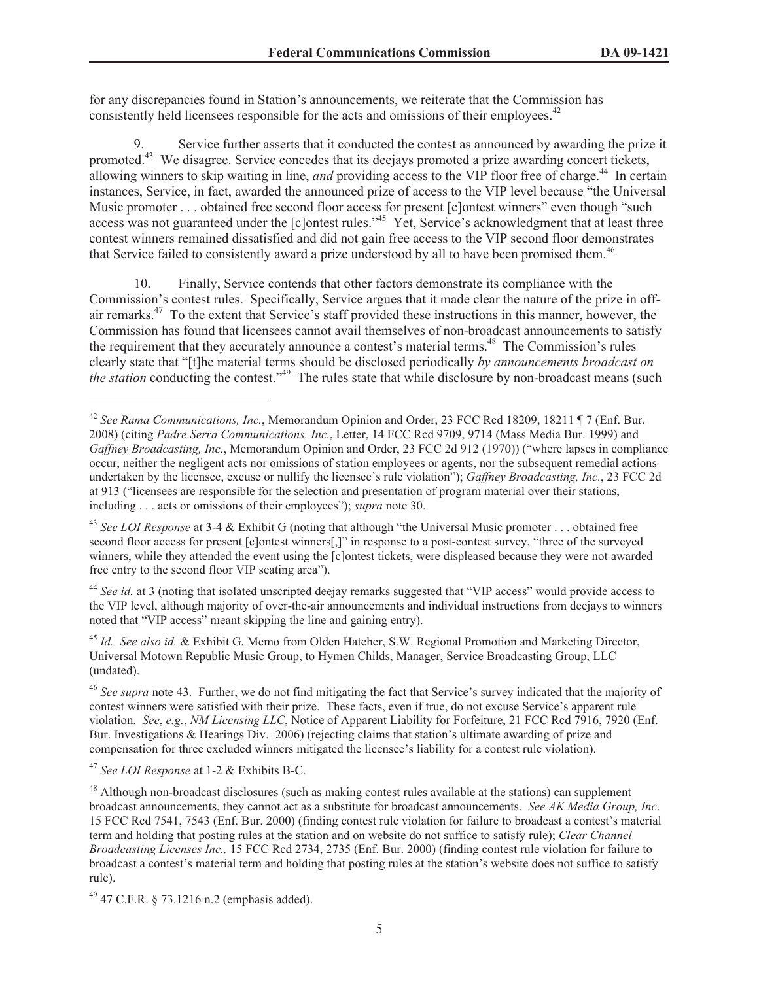for any discrepancies found in Station's announcements, we reiterate that the Commission has consistently held licensees responsible for the acts and omissions of their employees.<sup>42</sup>

9. Service further asserts that it conducted the contest as announced by awarding the prize it promoted.<sup>43</sup> We disagree. Service concedes that its deejays promoted a prize awarding concert tickets, allowing winners to skip waiting in line, *and* providing access to the VIP floor free of charge.<sup>44</sup> In certain instances, Service, in fact, awarded the announced prize of access to the VIP level because "the Universal Music promoter . . . obtained free second floor access for present [c]ontest winners" even though "such access was not guaranteed under the [c]ontest rules.<sup>45</sup> Yet, Service's acknowledgment that at least three contest winners remained dissatisfied and did not gain free access to the VIP second floor demonstrates that Service failed to consistently award a prize understood by all to have been promised them.<sup>46</sup>

Finally, Service contends that other factors demonstrate its compliance with the Commission's contest rules. Specifically, Service argues that it made clear the nature of the prize in offair remarks.<sup>47</sup> To the extent that Service's staff provided these instructions in this manner, however, the Commission has found that licensees cannot avail themselves of non-broadcast announcements to satisfy the requirement that they accurately announce a contest's material terms.<sup>48</sup> The Commission's rules clearly state that "[t]he material terms should be disclosed periodically *by announcements broadcast on the station* conducting the contest.<sup>"49</sup> The rules state that while disclosure by non-broadcast means (such

<sup>44</sup> *See id.* at 3 (noting that isolated unscripted deejay remarks suggested that "VIP access" would provide access to the VIP level, although majority of over-the-air announcements and individual instructions from deejays to winners noted that "VIP access" meant skipping the line and gaining entry).

<sup>45</sup> *Id. See also id.* & Exhibit G, Memo from Olden Hatcher, S.W. Regional Promotion and Marketing Director, Universal Motown Republic Music Group, to Hymen Childs, Manager, Service Broadcasting Group, LLC (undated).

<sup>47</sup> *See LOI Response* at 1-2 & Exhibits B-C.

<sup>42</sup> *See Rama Communications, Inc.*, Memorandum Opinion and Order, 23 FCC Rcd 18209, 18211 ¶ 7 (Enf. Bur. 2008) (citing *Padre Serra Communications, Inc.*, Letter, 14 FCC Rcd 9709, 9714 (Mass Media Bur. 1999) and *Gaffney Broadcasting, Inc.*, Memorandum Opinion and Order, 23 FCC 2d 912 (1970)) ("where lapses in compliance occur, neither the negligent acts nor omissions of station employees or agents, nor the subsequent remedial actions undertaken by the licensee, excuse or nullify the licensee's rule violation"); *Gaffney Broadcasting, Inc.*, 23 FCC 2d at 913 ("licensees are responsible for the selection and presentation of program material over their stations, including . . . acts or omissions of their employees"); *supra* note 30.

<sup>43</sup> *See LOI Response* at 3-4 & Exhibit G (noting that although "the Universal Music promoter . . . obtained free second floor access for present [c]ontest winners[,]" in response to a post-contest survey, "three of the surveyed winners, while they attended the event using the [c]ontest tickets, were displeased because they were not awarded free entry to the second floor VIP seating area").

<sup>46</sup> *See supra* note 43. Further, we do not find mitigating the fact that Service's survey indicated that the majority of contest winners were satisfied with their prize. These facts, even if true, do not excuse Service's apparent rule violation. *See*, *e.g.*, *NM Licensing LLC*, Notice of Apparent Liability for Forfeiture, 21 FCC Rcd 7916, 7920 (Enf. Bur. Investigations & Hearings Div. 2006) (rejecting claims that station's ultimate awarding of prize and compensation for three excluded winners mitigated the licensee's liability for a contest rule violation).

<sup>&</sup>lt;sup>48</sup> Although non-broadcast disclosures (such as making contest rules available at the stations) can supplement broadcast announcements, they cannot act as a substitute for broadcast announcements. *See AK Media Group, Inc*. 15 FCC Rcd 7541, 7543 (Enf. Bur. 2000) (finding contest rule violation for failure to broadcast a contest's material term and holding that posting rules at the station and on website do not suffice to satisfy rule); *Clear Channel Broadcasting Licenses Inc.,* 15 FCC Rcd 2734, 2735 (Enf. Bur. 2000) (finding contest rule violation for failure to broadcast a contest's material term and holding that posting rules at the station's website does not suffice to satisfy rule).

 $49$  47 C.F.R. § 73.1216 n.2 (emphasis added).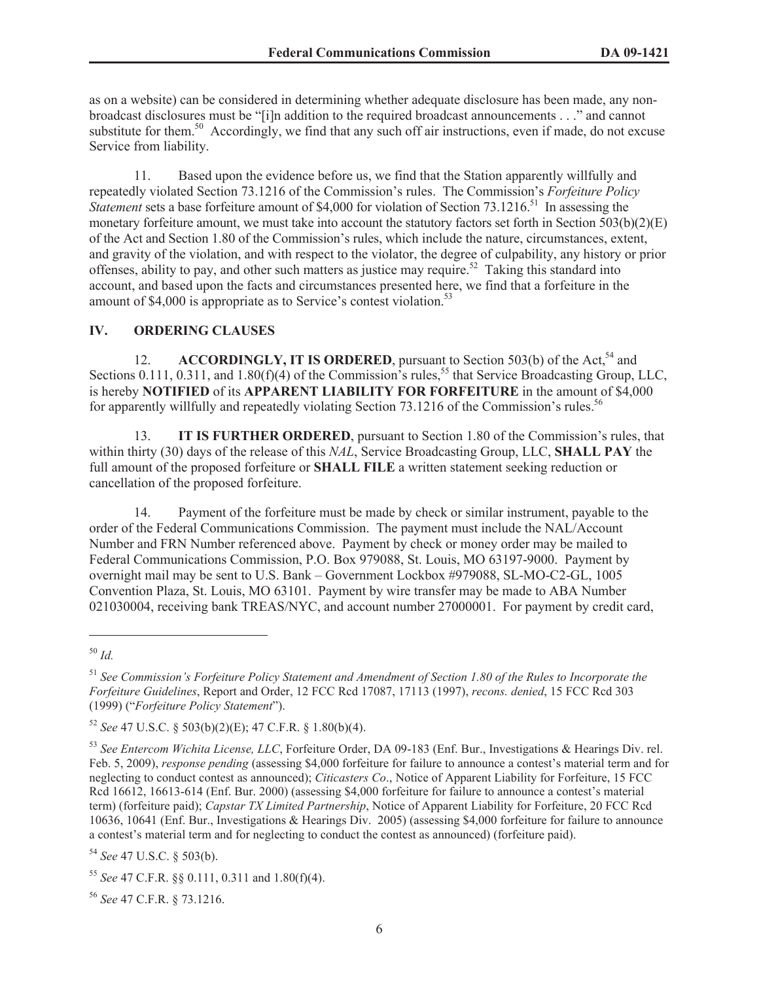as on a website) can be considered in determining whether adequate disclosure has been made, any nonbroadcast disclosures must be "[i]n addition to the required broadcast announcements . . ." and cannot substitute for them.<sup>50</sup> Accordingly, we find that any such off air instructions, even if made, do not excuse Service from liability.

11. Based upon the evidence before us, we find that the Station apparently willfully and repeatedly violated Section 73.1216 of the Commission's rules. The Commission's *Forfeiture Policy Statement* sets a base forfeiture amount of \$4,000 for violation of Section 73.1216.<sup>51</sup> In assessing the monetary forfeiture amount, we must take into account the statutory factors set forth in Section 503(b)(2)(E) of the Act and Section 1.80 of the Commission's rules, which include the nature, circumstances, extent, and gravity of the violation, and with respect to the violator, the degree of culpability, any history or prior offenses, ability to pay, and other such matters as justice may require.<sup>52</sup> Taking this standard into account, and based upon the facts and circumstances presented here, we find that a forfeiture in the amount of \$4,000 is appropriate as to Service's contest violation.<sup>53</sup>

#### **IV. ORDERING CLAUSES**

12. **ACCORDINGLY, IT IS ORDERED**, pursuant to Section 503(b) of the Act,<sup>54</sup> and Sections 0.111, 0.311, and 1.80(f)(4) of the Commission's rules,<sup>55</sup> that Service Broadcasting Group, LLC, is hereby **NOTIFIED** of its **APPARENT LIABILITY FOR FORFEITURE** in the amount of \$4,000 for apparently willfully and repeatedly violating Section  $73.1216$  of the Commission's rules.<sup>56</sup>

13. **IT IS FURTHER ORDERED**, pursuant to Section 1.80 of the Commission's rules, that within thirty (30) days of the release of this *NAL*, Service Broadcasting Group, LLC, **SHALL PAY** the full amount of the proposed forfeiture or **SHALL FILE** a written statement seeking reduction or cancellation of the proposed forfeiture.

14. Payment of the forfeiture must be made by check or similar instrument, payable to the order of the Federal Communications Commission. The payment must include the NAL/Account Number and FRN Number referenced above. Payment by check or money order may be mailed to Federal Communications Commission, P.O. Box 979088, St. Louis, MO 63197-9000. Payment by overnight mail may be sent to U.S. Bank – Government Lockbox #979088, SL-MO-C2-GL, 1005 Convention Plaza, St. Louis, MO 63101. Payment by wire transfer may be made to ABA Number 021030004, receiving bank TREAS/NYC, and account number 27000001. For payment by credit card,

<sup>54</sup> *See* 47 U.S.C. § 503(b).

<sup>50</sup> *Id.*

<sup>51</sup> *See Commission's Forfeiture Policy Statement and Amendment of Section 1.80 of the Rules to Incorporate the Forfeiture Guidelines*, Report and Order, 12 FCC Rcd 17087, 17113 (1997), *recons. denied*, 15 FCC Rcd 303 (1999) ("*Forfeiture Policy Statement*").

<sup>52</sup> *See* 47 U.S.C. § 503(b)(2)(E); 47 C.F.R. § 1.80(b)(4).

<sup>53</sup> *See Entercom Wichita License, LLC*, Forfeiture Order, DA 09-183 (Enf. Bur., Investigations & Hearings Div. rel. Feb. 5, 2009), *response pending* (assessing \$4,000 forfeiture for failure to announce a contest's material term and for neglecting to conduct contest as announced); *Citicasters Co*., Notice of Apparent Liability for Forfeiture, 15 FCC Rcd 16612, 16613-614 (Enf. Bur. 2000) (assessing \$4,000 forfeiture for failure to announce a contest's material term) (forfeiture paid); *Capstar TX Limited Partnership*, Notice of Apparent Liability for Forfeiture, 20 FCC Rcd 10636, 10641 (Enf. Bur., Investigations & Hearings Div. 2005) (assessing \$4,000 forfeiture for failure to announce a contest's material term and for neglecting to conduct the contest as announced) (forfeiture paid).

<sup>55</sup> *See* 47 C.F.R. §§ 0.111, 0.311 and 1.80(f)(4).

<sup>56</sup> *See* 47 C.F.R. § 73.1216.